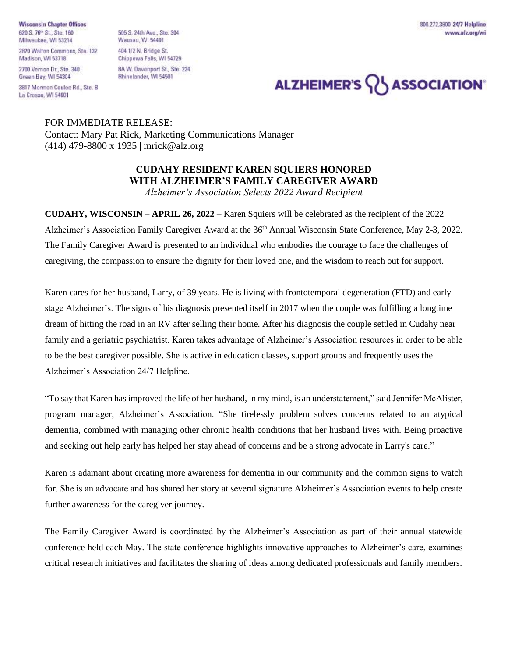**Wisconsin Chapter Offices** 620 S. 76<sup>th</sup> St., Ste. 160 Milwaukee, WI 53214

2820 Walton Commons, Ste. 132 Madison, WI 53718

2700 Vernon Dr., Ste. 340 Green Bay, WI 54304

3817 Mormon Coulee Rd., Ste. B La Crosse, WI 54601

505 S. 24th Ave., Ste. 304 **Wausau, WI 54401** 404 1/2 N. Bridge St. Chippewa Falls, WI 54729 8A W. Davenport St., Ste. 224 Rhinelander, WI 54501

800.272.3900 24/7 Helpline www.alz.org/wi

## ALZHEIMER'S **\\ASSOCIATION**

FOR IMMEDIATE RELEASE: Contact: Mary Pat Rick, Marketing Communications Manager (414) 479-8800 x 1935 | mrick@alz.org

## **CUDAHY RESIDENT KAREN SQUIERS HONORED WITH ALZHEIMER'S FAMILY CAREGIVER AWARD**

*Alzheimer's Association Selects 2022 Award Recipient*

**CUDAHY, WISCONSIN – APRIL 26, 2022 –** Karen Squiers will be celebrated as the recipient of the 2022 Alzheimer's Association Family Caregiver Award at the 36<sup>th</sup> Annual Wisconsin State Conference, May 2-3, 2022. The Family Caregiver Award is presented to an individual who embodies the courage to face the challenges of caregiving, the compassion to ensure the dignity for their loved one, and the wisdom to reach out for support.

Karen cares for her husband, Larry, of 39 years. He is living with frontotemporal degeneration (FTD) and early stage Alzheimer's. The signs of his diagnosis presented itself in 2017 when the couple was fulfilling a longtime dream of hitting the road in an RV after selling their home. After his diagnosis the couple settled in Cudahy near family and a geriatric psychiatrist. Karen takes advantage of Alzheimer's Association resources in order to be able to be the best caregiver possible. She is active in education classes, support groups and frequently uses the Alzheimer's Association 24/7 Helpline.

"To say that Karen has improved the life of her husband, in my mind, is an understatement," said Jennifer McAlister, program manager, Alzheimer's Association. "She tirelessly problem solves concerns related to an atypical dementia, combined with managing other chronic health conditions that her husband lives with. Being proactive and seeking out help early has helped her stay ahead of concerns and be a strong advocate in Larry's care."

Karen is adamant about creating more awareness for dementia in our community and the common signs to watch for. She is an advocate and has shared her story at several signature Alzheimer's Association events to help create further awareness for the caregiver journey.

The Family Caregiver Award is coordinated by the Alzheimer's Association as part of their annual statewide conference held each May. The state conference highlights innovative approaches to Alzheimer's care, examines critical research initiatives and facilitates the sharing of ideas among dedicated professionals and family members.